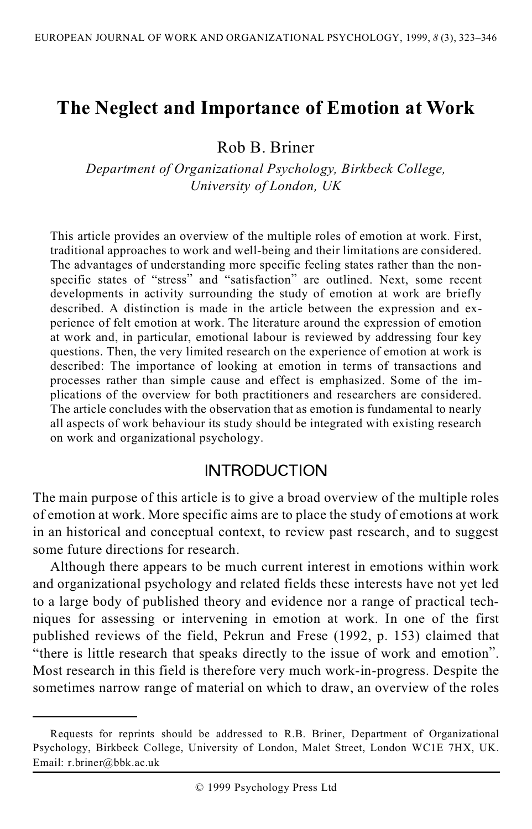# **The Neglect and Importance of Emotion at Work**

Rob B. Briner

*Department of Organizational Psychology, Birkbeck College, University of London, UK*

This article provides an overview of the multiple roles of emotion at work. First, traditional approaches to work and well-being and their limitations are considered. The advantages of understanding more specific feeling states rather than the non specific states of "stress" and "satisfaction" are outlined. Next, some recent developments in activity surrounding the study of emotion at work are briefly described. A distinction is made in the article between the expression and ex perience of felt emotion at work. The literature around the expression of emotion at work and, in particular, emotional labour is reviewed by addressing four key questions. Then, the very limited research on the experience of emotion at work is described: The importance of looking at emotion in terms of transactions and processes rather than simple cause and effect is emphasized. Some of the implications of the overview for both practitioners and researchers are considered. The article concludes with the observation that as emotion is fundamental to nearly all aspects of work behaviour its study should be integrated with existing research on work and organizational psychology.

### INTRODUCTION

The main purpose of this article is to give a broad overview of the multiple roles of emotion at work. More specific aims are to place the study of emotions at work in an historical and conceptual context, to review past research, and to suggest some future directions for research.

Although there appears to be much current interest in emotions within work and organizational psychology and related fields these interests have not yet led to a large body of published theory and evidence nor a range of practical techniques for assessing or intervening in emotion at work. In one of the first published reviews of the field, Pekrun and Frese (1992, p. 153) claimed that "there is little research that speaks directly to the issue of work and emotion". Most research in this field is therefore very much work-in-progress. Despite the sometimes narrow range of material on which to draw, an overview of the roles

Requests for reprints should be addressed to R.B. Briner, Department of Organizational Psychology, Birkbeck College, University of London, Malet Street, London WC1E 7HX, UK. Email: r.briner@bbk.ac.uk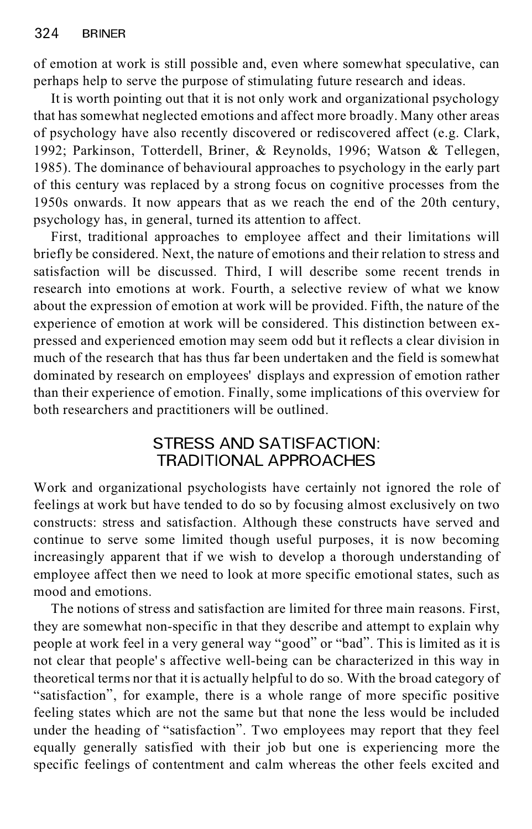of emotion at work is still possible and, even where somewhat speculative, can perhaps help to serve the purpose of stimulating future research and ideas.

It is worth pointing out that it is not only work and organizational psychology that has somewhat neglected emotions and affect more broadly. Many other areas of psychology have also recently discovered or rediscovered affect (e.g. Clark, 1992; Parkinson, Totterdell, Briner, & Reynolds, 1996; Watson & Tellegen, 1985). The dominance of behavioural approaches to psychology in the early part of this century was replaced by a strong focus on cognitive processes from the 1950s onwards. It now appears that as we reach the end of the 20th century, psychology has, in general, turned its attention to affect.

First, traditional approaches to employee affect and their limitations will briefly be considered. Next, the nature of emotions and their relation to stress and satisfaction will be discussed. Third, I will describe some recent trends in research into emotions at work. Fourth, a selective review of what we know about the expression of emotion at work will be provided. Fifth, the nature of the experience of emotion at work will be considered. This distinction between expressed and experienced emotion may seem odd but it reflects a clear division in much of the research that has thus far been undertaken and the field is somewhat dominated by research on employees' displays and expression of emotion rather than their experience of emotion. Finally, some implications of this overview for both researchers and practitioners will be outlined.

### STRESS AND SATISFACTION: TRADITIONAL APPROACHES

Work and organizational psychologists have certainly not ignored the role of feelings at work but have tended to do so by focusing almost exclusively on two constructs: stress and satisfaction. Although these constructs have served and continue to serve some limited though useful purposes, it is now becoming increasingly apparent that if we wish to develop a thorough understanding of employee affect then we need to look at more specific emotional states, such as mood and emotions.

The notions of stress and satisfaction are limited for three main reasons. First, they are somewhat non-specific in that they describe and attempt to explain why people at work feel in a very general way "good" or "bad". This is limited as it is not clear that people's affective well-being can be characterized in this way in theoretical terms nor that it is actually helpful to do so. With the broad category of "satisfaction", for example, there is a whole range of more specific positive feeling states which are not the same but that none the less would be included under the heading of "satisfaction". Two employees may report that they feel equally generally satisfied with their job but one is experiencing more the specific feelings of contentment and calm whereas the other feels excited and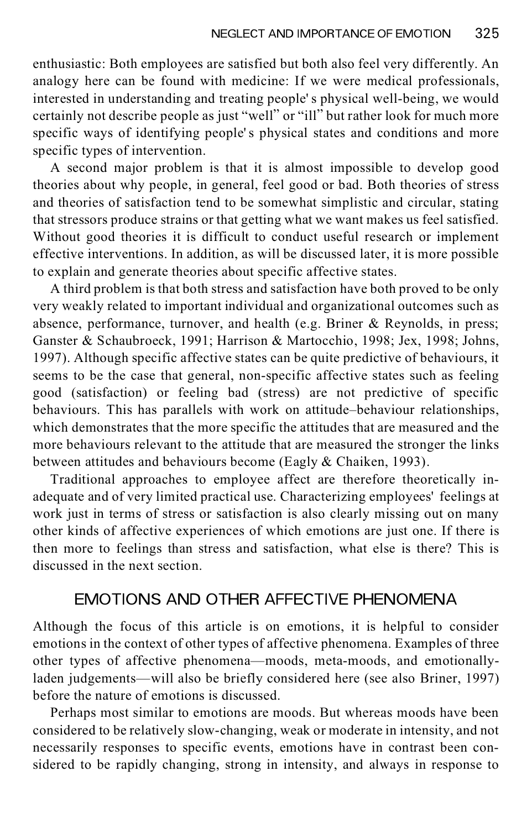enthusiastic: Both employees are satisfied but both also feel very differently. An analogy here can be found with medicine: If we were medical professionals, interested in understanding and treating people's physical well-being, we would certainly not describe people as just "well" or "ill" but rather look for much more specific ways of identifying people's physical states and conditions and more specific types of intervention.

A second major problem is that it is almost impossible to develop good theories about why people, in general, feel good or bad. Both theories of stress and theories of satisfaction tend to be somewhat simplistic and circular, stating that stressors produce strains or that getting what we want makes us feel satisfied. Without good theories it is difficult to conduct useful research or implement effective interventions. In addition, as will be discussed later, it is more possible to explain and generate theories about specific affective states.

A third problem is that both stress and satisfaction have both proved to be only very weakly related to important individual and organizational outcomes such as absence, performance, turnover, and health (e.g. Briner & Reynolds, in press; Ganster & Schaubroeck, 1991; Harrison & Martocchio, 1998; Jex, 1998; Johns, 1997). Although specific affective states can be quite predictive of behaviours, it seems to be the case that general, non-specific affective states such as feeling good (satisfaction) or feeling bad (stress) are not predictive of specific behaviours. This has parallels with work on attitude–behaviour relationships, which demonstrates that the more specific the attitudes that are measured and the more behaviours relevant to the attitude that are measured the stronger the links between attitudes and behaviours become (Eagly & Chaiken, 1993).

Traditional approaches to employee affect are therefore theoretically inadequate and of very limited practical use. Characterizing employees' feelings at work just in terms of stress or satisfaction is also clearly missing out on many other kinds of affective experiences of which emotions are just one. If there is then more to feelings than stress and satisfaction, what else is there? This is discussed in the next section.

### EMOTIONS AND OTHER AFFECTIVE PHENOMENA

Although the focus of this article is on emotions, it is helpful to consider emotions in the context of other types of affective phenomena. Examples of three other types of affective phenomena—moods, meta-moods, and emotionallyladen judgements—will also be briefly considered here (see also Briner, 1997) before the nature of emotions is discussed.

Perhaps most similar to emotions are moods. But whereas moods have been considered to be relatively slow-changing, weak or moderate in intensity, and not necessarily responses to specific events, emotions have in contrast been considered to be rapidly changing, strong in intensity, and always in response to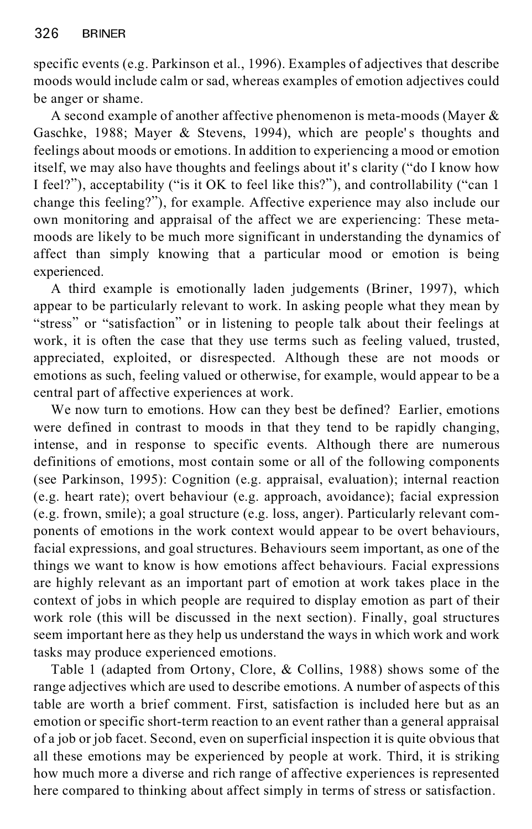specific events (e.g. Parkinson et al., 1996). Examples of adjectives that describe moods would include calm or sad, whereas examples of emotion adjectives could be anger or shame.

A second example of another affective phenomenon is meta-moods (Mayer & Gaschke, 1988; Mayer & Stevens, 1994), which are people's thoughts and feelings about moods or emotions. In addition to experiencing a mood or emotion itself, we may also have thoughts and feelings about it's clarity ("do I know how I feel?"), acceptability ("is it OK to feel like this?"), and controllability ("can 1 change this feeling?"), for example. Affective experience may also include our own monitoring and appraisal of the affect we are experiencing: These metamoods are likely to be much more significant in understanding the dynamics of affect than simply knowing that a particular mood or emotion is being experienced.

A third example is emotionally laden judgements (Briner, 1997), which appear to be particularly relevant to work. In asking people what they mean by "stress" or "satisfaction" or in listening to people talk about their feelings at work, it is often the case that they use terms such as feeling valued, trusted, appreciated, exploited, or disrespected. Although these are not moods or emotions as such, feeling valued or otherwise, for example, would appear to be a central part of affective experiences at work.

We now turn to emotions. How can they best be defined? Earlier, emotions were defined in contrast to moods in that they tend to be rapidly changing, intense, and in response to specific events. Although there are numerous definitions of emotions, most contain some or all of the following components (see Parkinson, 1995): Cognition (e.g. appraisal, evaluation); internal reaction (e.g. heart rate); overt behaviour (e.g. approach, avoidance); facial expression (e.g. frown, smile); a goal structure (e.g. loss, anger). Particularly relevant components of emotions in the work context would appear to be overt behaviours, facial expressions, and goal structures. Behaviours seem important, as one of the things we want to know is how emotions affect behaviours. Facial expressions are highly relevant as an important part of emotion at work takes place in the context of jobs in which people are required to display emotion as part of their work role (this will be discussed in the next section). Finally, goal structures seem important here as they help us understand the ways in which work and work tasks may produce experienced emotions.

Table 1 (adapted from Ortony, Clore, & Collins, 1988) shows some of the range adjectives which are used to describe emotions. A number of aspects of this table are worth a brief comment. First, satisfaction is included here but as an emotion or specific short-term reaction to an event rather than a general appraisal of a job or job facet. Second, even on superficial inspection it is quite obvious that all these emotions may be experienced by people at work. Third, it is striking how much more a diverse and rich range of affective experiences is represented here compared to thinking about affect simply in terms of stress or satisfaction.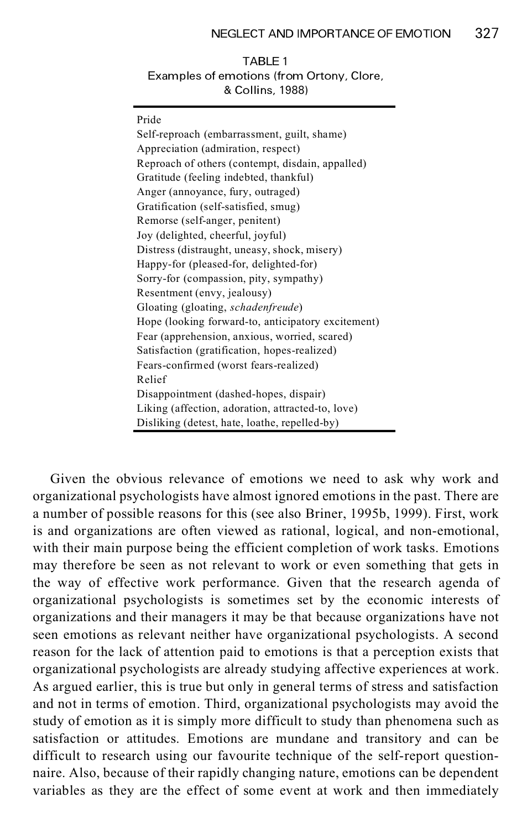TABLE 1 Examples of emotions (from Ortony, Clore, & Collins, 1988)

Pride Self-reproach (embarrassment, guilt, shame) Appreciation (admiration, respect) Reproach of others (contempt, disdain, appalled) Gratitude (feeling indebted, thankful) Anger (annoyance, fury, outraged) Gratification (self-satisfied, smug) Remorse (self-anger, penitent) Joy (delighted, cheerful, joyful) Distress (distraught, uneasy, shock, misery) Happy-for (pleased-for, delighted-for) Sorry-for (compassion, pity, sympathy) Resentment (envy, jealousy) Gloating (gloating, *schadenfreude*) Hope (looking forward-to, anticipatory excitement) Fear (apprehension, anxious, worried, scared) Satisfaction (gratification, hopes-realized) Fears-confirmed (worst fears-realized) Relief Disappointment (dashed-hopes, dispair) Liking (affection, adoration, attracted-to, love) Disliking (detest, hate, loathe, repelled-by)

Given the obvious relevance of emotions we need to ask why work and organizational psychologists have almost ignored emotions in the past. There are a number of possible reasons for this (see also Briner, 1995b, 1999). First, work is and organizations are often viewed as rational, logical, and non-emotional, with their main purpose being the efficient completion of work tasks. Emotions may therefore be seen as not relevant to work or even something that gets in the way of effective work performance. Given that the research agenda of organizational psychologists is sometimes set by the economic interests of organizations and their managers it may be that because organizations have not seen emotions as relevant neither have organizational psychologists. A second reason for the lack of attention paid to emotions is that a perception exists that organizational psychologists are already studying affective experiences at work. As argued earlier, this is true but only in general terms of stress and satisfaction and not in terms of emotion. Third, organizational psychologists may avoid the study of emotion as it is simply more difficult to study than phenomena such as satisfaction or attitudes. Emotions are mundane and transitory and can be difficult to research using our favourite technique of the self-report questionnaire. Also, because of their rapidly changing nature, emotions can be dependent variables as they are the effect of some event at work and then immediately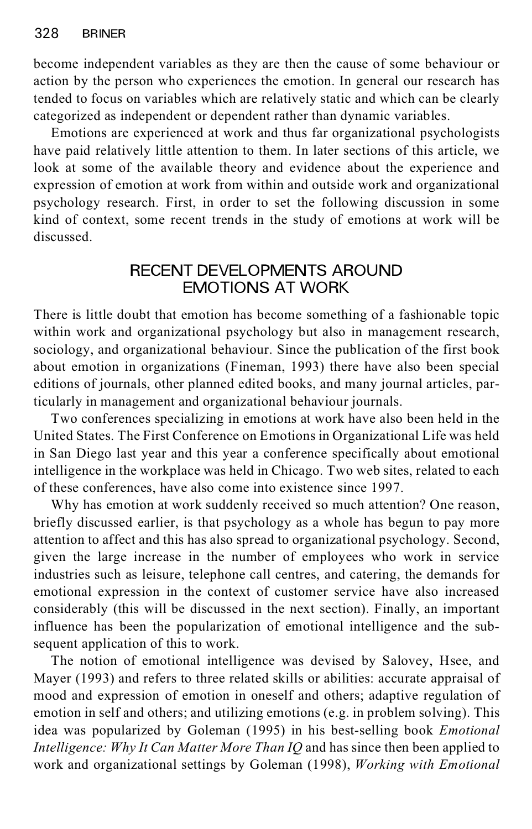become independent variables as they are then the cause of some behaviour or action by the person who experiences the emotion. In general our research has tended to focus on variables which are relatively static and which can be clearly categorized as independent or dependent rather than dynamic variables.

Emotions are experienced at work and thus far organizational psychologists have paid relatively little attention to them. In later sections of this article, we look at some of the available theory and evidence about the experience and expression of emotion at work from within and outside work and organizational psychology research. First, in order to set the following discussion in some kind of context, some recent trends in the study of emotions at work will be discussed.

### RECENT DEVELOPMENTS AROUND EMOTIONS AT WORK

There is little doubt that emotion has become something of a fashionable topic within work and organizational psychology but also in management research, sociology, and organizational behaviour. Since the publication of the first book about emotion in organizations (Fineman, 1993) there have also been special editions of journals, other planned edited books, and many journal articles, particularly in management and organizational behaviour journals.

Two conferences specializing in emotions at work have also been held in the United States. The First Conference on Emotions in Organizational Life was held in San Diego last year and this year a conference specifically about emotional intelligence in the workplace was held in Chicago. Two web sites, related to each of these conferences, have also come into existence since 1997.

Why has emotion at work suddenly received so much attention? One reason, briefly discussed earlier, is that psychology as a whole has begun to pay more attention to affect and this has also spread to organizational psychology. Second, given the large increase in the number of employees who work in service industries such as leisure, telephone call centres, and catering, the demands for emotional expression in the context of customer service have also increased considerably (this will be discussed in the next section). Finally, an important influence has been the popularization of emotional intelligence and the subsequent application of this to work.

The notion of emotional intelligence was devised by Salovey, Hsee, and Mayer (1993) and refers to three related skills or abilities: accurate appraisal of mood and expression of emotion in oneself and others; adaptive regulation of emotion in self and others; and utilizing emotions (e.g. in problem solving). This idea was popularized by Goleman (1995) in his best-selling book *Emotional Intelligence: Why It Can Matter More Than IQ* and has since then been applied to work and organizational settings by Goleman (1998), *Working with Emotional*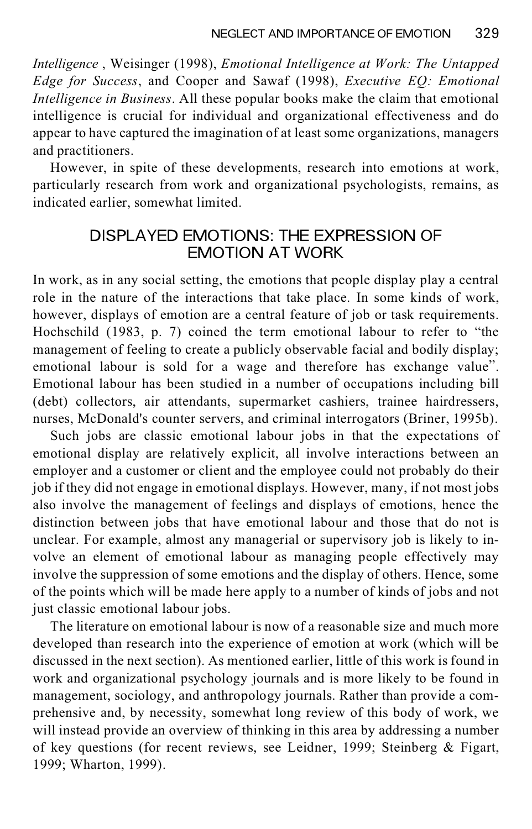*Intelligence* , Weisinger (1998), *Emotional Intelligence at Work: The Untapped Edge for Success*, and Cooper and Sawaf (1998), *Executive EQ: Emotional Intelligence in Business*. All these popular books make the claim that emotional intelligence is crucial for individual and organizational effectiveness and do appear to have captured the imagination of at least some organizations, managers and practitioners.

However, in spite of these developments, research into emotions at work, particularly research from work and organizational psychologists, remains, as indicated earlier, somewhat limited.

### DISPLAYED EMOTIONS: THE EXPRESSION OF EMOTION AT WORK

In work, as in any social setting, the emotions that people display play a central role in the nature of the interactions that take place. In some kinds of work, however, displays of emotion are a central feature of job or task requirements. Hochschild (1983, p. 7) coined the term emotional labour to refer to "the management of feeling to create a publicly observable facial and bodily display; emotional labour is sold for a wage and therefore has exchange value". Emotional labour has been studied in a number of occupations including bill (debt) collectors, air attendants, supermarket cashiers, trainee hairdressers, nurses, McDonald's counter servers, and criminal interrogators (Briner, 1995b).

Such jobs are classic emotional labour jobs in that the expectations of emotional display are relatively explicit, all involve interactions between an employer and a customer or client and the employee could not probably do their job if they did not engage in emotional displays. However, many, if not most jobs also involve the management of feelings and displays of emotions, hence the distinction between jobs that have emotional labour and those that do not is unclear. For example, almost any managerial or supervisory job is likely to involve an element of emotional labour as managing people effectively may involve the suppression of some emotions and the display of others. Hence, some of the points which will be made here apply to a number of kinds of jobs and not just classic emotional labour jobs.

The literature on emotional labour is now of a reasonable size and much more developed than research into the experience of emotion at work (which will be discussed in the next section). As mentioned earlier, little of this work is found in work and organizational psychology journals and is more likely to be found in management, sociology, and anthropology journals. Rather than provide a comprehensive and, by necessity, somewhat long review of this body of work, we will instead provide an overview of thinking in this area by addressing a number of key questions (for recent reviews, see Leidner, 1999; Steinberg & Figart, 1999; Wharton, 1999).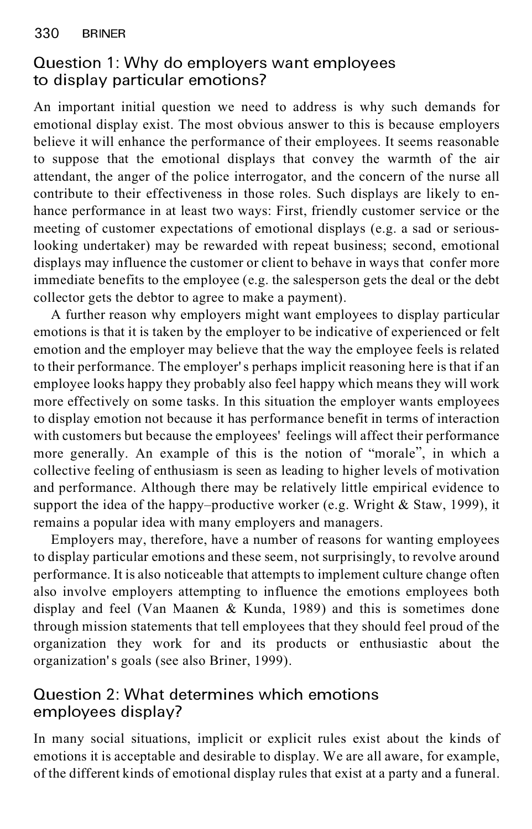### Question 1: Why do employers want employees to display particular emotions?

An important initial question we need to address is why such demands for emotional display exist. The most obvious answer to this is because employers believe it will enhance the performance of their employees. It seems reasonable to suppose that the emotional displays that convey the warmth of the air attendant, the anger of the police interrogator, and the concern of the nurse all contribute to their effectiveness in those roles. Such displays are likely to enhance performance in at least two ways: First, friendly customer service or the meeting of customer expectations of emotional displays (e.g. a sad or seriouslooking undertaker) may be rewarded with repeat business; second, emotional displays may influence the customer or client to behave in ways that confer more immediate benefits to the employee (e.g. the salesperson gets the deal or the debt collector gets the debtor to agree to make a payment).

A further reason why employers might want employees to display particular emotions is that it is taken by the employer to be indicative of experienced or felt emotion and the employer may believe that the way the employee feels is related to their performance. The employer's perhaps implicit reasoning here is that if an employee looks happy they probably also feel happy which means they will work more effectively on some tasks. In this situation the employer wants employees to display emotion not because it has performance benefit in terms of interaction with customers but because the employees' feelings will affect their performance more generally. An example of this is the notion of "morale", in which a collective feeling of enthusiasm is seen as leading to higher levels of motivation and performance. Although there may be relatively little empirical evidence to support the idea of the happy–productive worker (e.g. Wright  $&$  Staw, 1999), it remains a popular idea with many employers and managers.

Employers may, therefore, have a number of reasons for wanting employees to display particular emotions and these seem, not surprisingly, to revolve around performance. It is also noticeable that attempts to implement culture change often also involve employers attempting to influence the emotions employees both display and feel (Van Maanen & Kunda, 1989) and this is sometimes done through mission statements that tell employees that they should feel proud of the organization they work for and its products or enthusiastic about the organization's goals (see also Briner, 1999).

### Question 2: What determines which emotions employees display?

In many social situations, implicit or explicit rules exist about the kinds of emotions it is acceptable and desirable to display. We are all aware, for example, of the different kinds of emotional display rules that exist at a party and a funeral.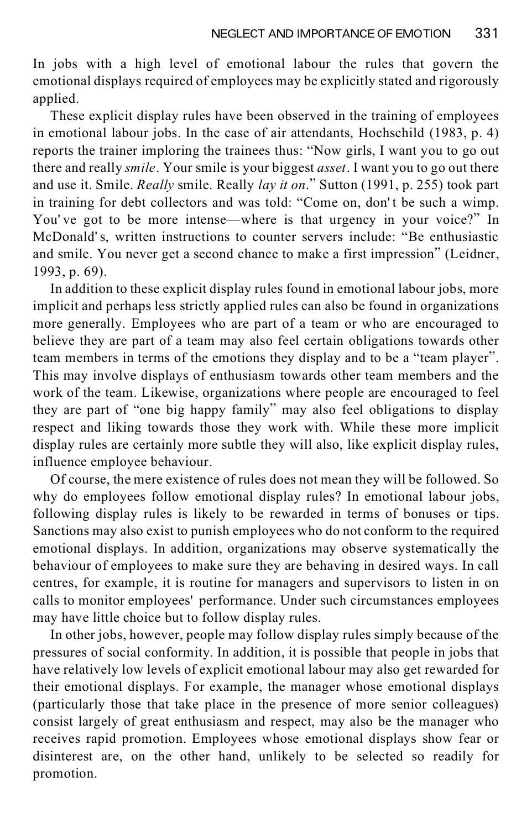In jobs with a high level of emotional labour the rules that govern the emotional displays required of employees may be explicitly stated and rigorously applied.

These explicit display rules have been observed in the training of employees in emotional labour jobs. In the case of air attendants, Hochschild (1983, p. 4) reports the trainer imploring the trainees thus: "Now girls, I want you to go out there and really *smile*. Your smile is your biggest *asset*. I want you to go out there and use it. Smile. *Really* smile. Really *lay it on*." Sutton (1991, p. 255) took part in training for debt collectors and was told: "Come on, don't be such a wimp. You've got to be more intense—where is that urgency in your voice?" In McDonald's, written instructions to counter servers include: "Be enthusiastic and smile. You never get a second chance to make a first impression" (Leidner, 1993, p. 69).

In addition to these explicit display rules found in emotional labour jobs, more implicit and perhaps less strictly applied rules can also be found in organizations more generally. Employees who are part of a team or who are encouraged to believe they are part of a team may also feel certain obligations towards other team members in terms of the emotions they display and to be a "team player". This may involve displays of enthusiasm towards other team members and the work of the team. Likewise, organizations where people are encouraged to feel they are part of "one big happy family" may also feel obligations to display respect and liking towards those they work with. While these more implicit display rules are certainly more subtle they will also, like explicit display rules, influence employee behaviour.

Of course, the mere existence of rules does not mean they will be followed. So why do employees follow emotional display rules? In emotional labour jobs, following display rules is likely to be rewarded in terms of bonuses or tips. Sanctions may also exist to punish employees who do not conform to the required emotional displays. In addition, organizations may observe systematically the behaviour of employees to make sure they are behaving in desired ways. In call centres, for example, it is routine for managers and supervisors to listen in on calls to monitor employees' performance. Under such circumstances employees may have little choice but to follow display rules.

In other jobs, however, people may follow display rules simply because of the pressures of social conformity. In addition, it is possible that people in jobs that have relatively low levels of explicit emotional labour may also get rewarded for their emotional displays. For example, the manager whose emotional displays (particularly those that take place in the presence of more senior colleagues) consist largely of great enthusiasm and respect, may also be the manager who receives rapid promotion. Employees whose emotional displays show fear or disinterest are, on the other hand, unlikely to be selected so readily for promotion.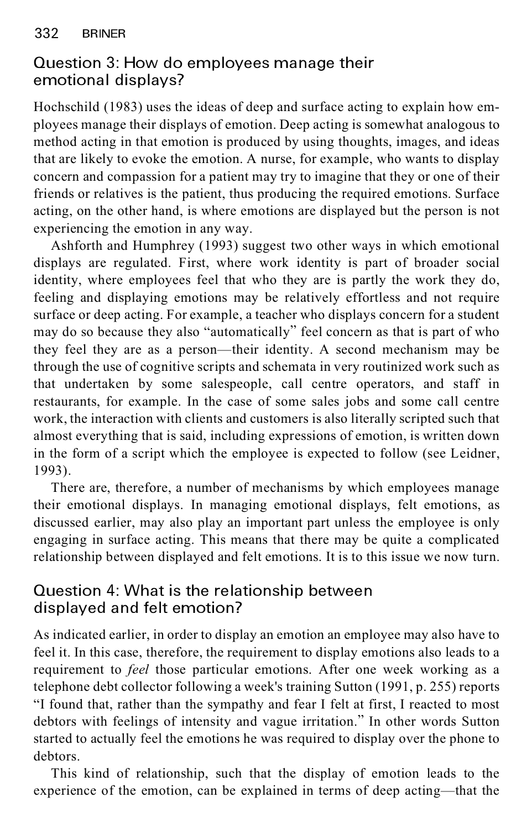### Question 3: How do employees manage their emotional displays?

Hochschild (1983) uses the ideas of deep and surface acting to explain how employees manage their displays of emotion. Deep acting is somewhat analogous to method acting in that emotion is produced by using thoughts, images, and ideas that are likely to evoke the emotion. A nurse, for example, who wants to display concern and compassion for a patient may try to imagine that they or one of their friends or relatives is the patient, thus producing the required emotions. Surface acting, on the other hand, is where emotions are displayed but the person is not experiencing the emotion in any way.

Ashforth and Humphrey (1993) suggest two other ways in which emotional displays are regulated. First, where work identity is part of broader social identity, where employees feel that who they are is partly the work they do, feeling and displaying emotions may be relatively effortless and not require surface or deep acting. For example, a teacher who displays concern for a student may do so because they also "automatically" feel concern as that is part of who they feel they are as a person—their identity. A second mechanism may be through the use of cognitive scripts and schemata in very routinized work such as that undertaken by some salespeople, call centre operators, and staff in restaurants, for example. In the case of some sales jobs and some call centre work, the interaction with clients and customers is also literally scripted such that almost everything that is said, including expressions of emotion, is written down in the form of a script which the employee is expected to follow (see Leidner, 1993).

There are, therefore, a number of mechanisms by which employees manage their emotional displays. In managing emotional displays, felt emotions, as discussed earlier, may also play an important part unless the employee is only engaging in surface acting. This means that there may be quite a complicated relationship between displayed and felt emotions. It is to this issue we now turn.

## Question 4: What is the relationship between displayed and felt emotion?

As indicated earlier, in order to display an emotion an employee may also have to feel it. In this case, therefore, the requirement to display emotions also leads to a requirement to *feel* those particular emotions. After one week working as a telephone debt collector following a week's training Sutton (1991, p. 255) reports "I found that, rather than the sympathy and fear I felt at first, I reacted to most debtors with feelings of intensity and vague irritation." In other words Sutton started to actually feel the emotions he was required to display over the phone to debtors.

This kind of relationship, such that the display of emotion leads to the experience of the emotion, can be explained in terms of deep acting—that the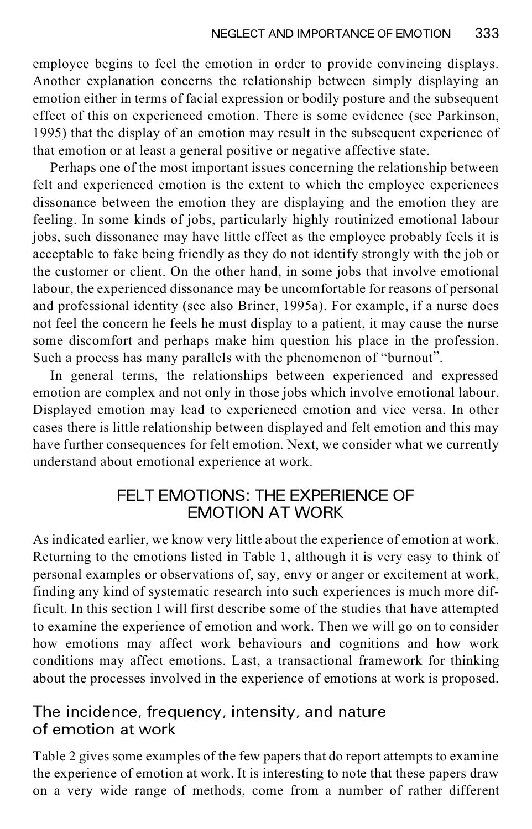employee begins to feel the emotion in order to provide convincing displays. Another explanation concerns the relationship between simply displaying an emotion either in terms of facial expression or bodily posture and the subsequent effect of this on experienced emotion. There is some evidence (see Parkinson, 1995) that the display of an emotion may result in the subsequent experience of that emotion or at least a general positive or negative affective state.

Perhaps one of the most important issues concerning the relationship between felt and experienced emotion is the extent to which the employee experiences dissonance between the emotion they are displaying and the emotion they are feeling. In some kinds of jobs, particularly highly routinized emotional labour jobs, such dissonance may have little effect as the employee probably feels it is acceptable to fake being friendly as they do not identify strongly with the job or the customer or client. On the other hand, in some jobs that involve emotional labour, the experienced dissonance may be uncomfortable for reasons of personal and professional identity (see also Briner, 1995a). For example, if a nurse does not feel the concern he feels he must display to a patient, it may cause the nurse some discomfort and perhaps make him question his place in the profession. Such a process has many parallels with the phenomenon of "burnout".

In general terms, the relationships between experienced and expressed emotion are complex and not only in those jobs which involve emotional labour. Displayed emotion may lead to experienced emotion and vice versa. In other cases there is little relationship between displayed and felt emotion and this may have further consequences for felt emotion. Next, we consider what we currently understand about emotional experience at work.

### FELT EMOTIONS: THE EXPERIENCE OF EMOTION AT WORK

As indicated earlier, we know very little about the experience of emotion at work. Returning to the emotions listed in Table 1, although it is very easy to think of personal examples or observations of, say, envy or anger or excitement at work, finding any kind of systematic research into such experiences is much more difficult. In this section I will first describe some of the studies that have attempted to examine the experience of emotion and work. Then we will go on to consider how emotions may affect work behaviours and cognitions and how work conditions may affect emotions. Last, a transactional framework for thinking about the processes involved in the experience of emotions at work is proposed.

### The incidence, frequency, intensity, and nature of emotion at work

Table 2 gives some examples of the few papers that do report attempts to examine the experience of emotion at work. It is interesting to note that these papers draw on a very wide range of methods, come from a number of rather different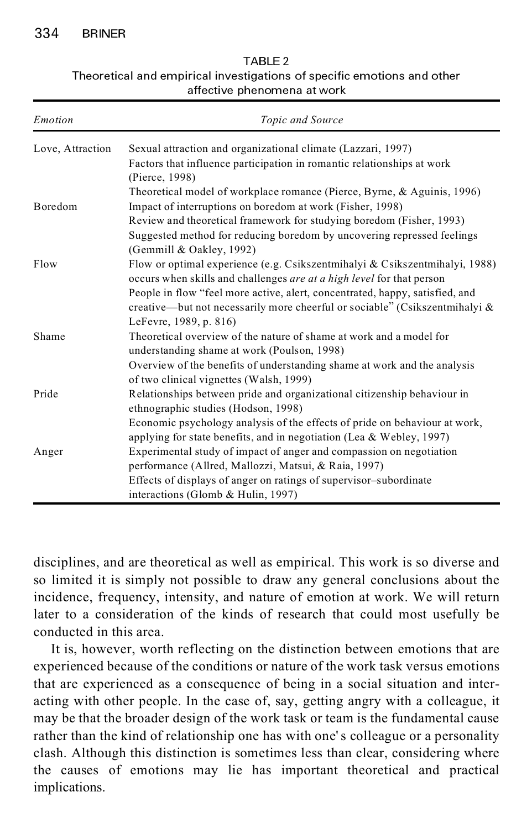### 334 BRINER

| Emotion          | Topic and Source                                                                                                   |
|------------------|--------------------------------------------------------------------------------------------------------------------|
| Love, Attraction | Sexual attraction and organizational climate (Lazzari, 1997)                                                       |
|                  | Factors that influence participation in romantic relationships at work<br>(Pierce, 1998)                           |
|                  | Theoretical model of workplace romance (Pierce, Byrne, & Aguinis, 1996)                                            |
| Boredom          | Impact of interruptions on boredom at work (Fisher, 1998)                                                          |
|                  | Review and theoretical framework for studying boredom (Fisher, 1993)                                               |
|                  | Suggested method for reducing boredom by uncovering repressed feelings<br>(Gemmill & Oakley, 1992)                 |
| Flow             | Flow or optimal experience (e.g. Csikszentmihalyi & Csikszentmihalyi, 1988)                                        |
|                  | occurs when skills and challenges are at a high level for that person                                              |
|                  | People in flow "feel more active, alert, concentrated, happy, satisfied, and                                       |
|                  | creative—but not necessarily more cheerful or sociable" (Csikszentmihalyi &                                        |
|                  | LeFevre, 1989, p. 816)                                                                                             |
| Shame            | Theoretical overview of the nature of shame at work and a model for<br>understanding shame at work (Poulson, 1998) |
|                  | Overview of the benefits of understanding shame at work and the analysis                                           |
|                  | of two clinical vignettes (Walsh, 1999)                                                                            |
| Pride            | Relationships between pride and organizational citizenship behaviour in                                            |
|                  | ethnographic studies (Hodson, 1998)                                                                                |
|                  | Economic psychology analysis of the effects of pride on behaviour at work,                                         |
|                  | applying for state benefits, and in negotiation (Lea $&$ Webley, 1997)                                             |
| Anger            | Experimental study of impact of anger and compassion on negotiation                                                |
|                  | performance (Allred, Mallozzi, Matsui, & Raia, 1997)                                                               |
|                  | Effects of displays of anger on ratings of supervisor-subordinate                                                  |
|                  | interactions (Glomb & Hulin, 1997)                                                                                 |

### TABLE 2 Theoretical and empirical investigations of specific emotions and other affective phenomena at work

disciplines, and are theoretical as well as empirical. This work is so diverse and so limited it is simply not possible to draw any general conclusions about the incidence, frequency, intensity, and nature of emotion at work. We will return later to a consideration of the kinds of research that could most usefully be conducted in this area.

It is, however, worth reflecting on the distinction between emotions that are experienced because of the conditions or nature of the work task versus emotions that are experienced as a consequence of being in a social situation and interacting with other people. In the case of, say, getting angry with a colleague, it may be that the broader design of the work task or team is the fundamental cause rather than the kind of relationship one has with one's colleague or a personality clash. Although this distinction is sometimes less than clear, considering where the causes of emotions may lie has important theoretical and practical implications.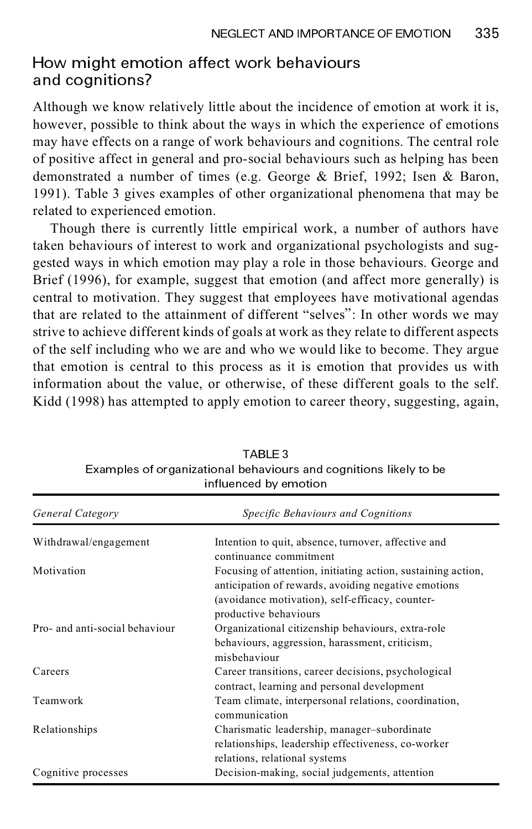### How might emotion affect work behaviours and cognitions?

Although we know relatively little about the incidence of emotion at work it is, however, possible to think about the ways in which the experience of emotions may have effects on a range of work behaviours and cognitions. The central role of positive affect in general and pro-social behaviours such as helping has been demonstrated a number of times (e.g. George & Brief, 1992; Isen & Baron, 1991). Table 3 gives examples of other organizational phenomena that may be related to experienced emotion.

Though there is currently little empirical work, a number of authors have taken behaviours of interest to work and organizational psychologists and suggested ways in which emotion may play a role in those behaviours. George and Brief (1996), for example, suggest that emotion (and affect more generally) is central to motivation. They suggest that employees have motivational agendas that are related to the attainment of different "selves": In other words we may strive to achieve different kinds of goals at work as they relate to different aspects of the self including who we are and who we would like to become. They argue that emotion is central to this process as it is emotion that provides us with information about the value, or otherwise, of these different goals to the self. Kidd (1998) has attempted to apply emotion to career theory, suggesting, again,

| General Category               | Specific Behaviours and Cognitions                                                                                                                                                              |
|--------------------------------|-------------------------------------------------------------------------------------------------------------------------------------------------------------------------------------------------|
| Withdrawal/engagement          | Intention to quit, absence, turnover, affective and<br>continuance commitment                                                                                                                   |
| Motivation                     | Focusing of attention, initiating action, sustaining action,<br>anticipation of rewards, avoiding negative emotions<br>(avoidance motivation), self-efficacy, counter-<br>productive behaviours |
| Pro- and anti-social behaviour | Organizational citizenship behaviours, extra-role<br>behaviours, aggression, harassment, criticism,<br>misbehaviour                                                                             |
| Careers                        | Career transitions, career decisions, psychological<br>contract, learning and personal development                                                                                              |
| Teamwork                       | Team climate, interpersonal relations, coordination,<br>communication                                                                                                                           |
| Relationships                  | Charismatic leadership, manager-subordinate<br>relationships, leadership effectiveness, co-worker<br>relations, relational systems                                                              |
| Cognitive processes            | Decision-making, social judgements, attention                                                                                                                                                   |

TABLE 3 Examples of organizational behaviours and cognitions likely to be influenced by emotion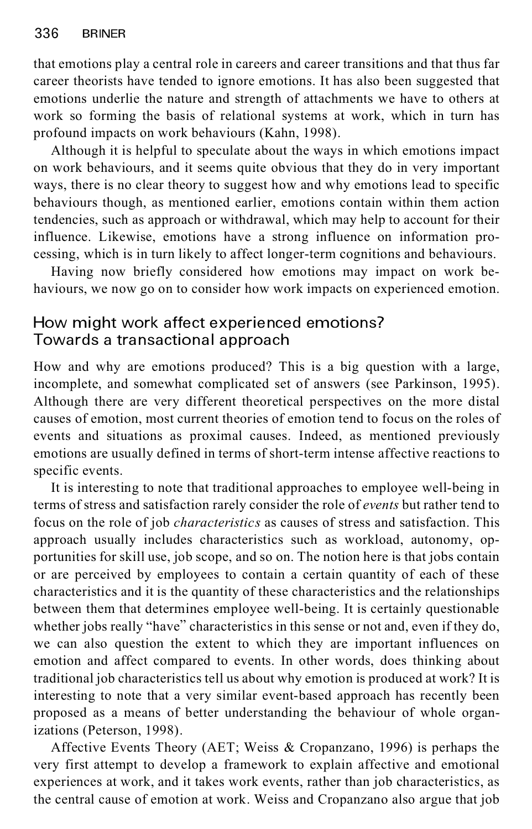that emotions play a central role in careers and career transitions and that thus far career theorists have tended to ignore emotions. It has also been suggested that emotions underlie the nature and strength of attachments we have to others at work so forming the basis of relational systems at work, which in turn has profound impacts on work behaviours (Kahn, 1998).

Although it is helpful to speculate about the ways in which emotions impact on work behaviours, and it seems quite obvious that they do in very important ways, there is no clear theory to suggest how and why emotions lead to specific behaviours though, as mentioned earlier, emotions contain within them action tendencies, such as approach or withdrawal, which may help to account for their influence. Likewise, emotions have a strong influence on information processing, which is in turn likely to affect longer-term cognitions and behaviours.

Having now briefly considered how emotions may impact on work behaviours, we now go on to consider how work impacts on experienced emotion.

### How might work affect experienced emotions? Towards a transactional approach

How and why are emotions produced? This is a big question with a large, incomplete, and somewhat complicated set of answers (see Parkinson, 1995). Although there are very different theoretical perspectives on the more distal causes of emotion, most current theories of emotion tend to focus on the roles of events and situations as proximal causes. Indeed, as mentioned previously emotions are usually defined in terms of short-term intense affective reactions to specific events.

It is interesting to note that traditional approaches to employee well-being in terms of stress and satisfaction rarely consider the role of *events* but rather tend to focus on the role of job *characteristics* as causes of stress and satisfaction. This approach usually includes characteristics such as workload, autonomy, opportunities for skill use, job scope, and so on. The notion here is that jobs contain or are perceived by employees to contain a certain quantity of each of these characteristics and it is the quantity of these characteristics and the relationships between them that determines employee well-being. It is certainly questionable whether jobs really "have" characteristics in this sense or not and, even if they do, we can also question the extent to which they are important influences on emotion and affect compared to events. In other words, does thinking about traditional job characteristics tell us about why emotion is produced at work? It is interesting to note that a very similar event-based approach has recently been proposed as a means of better understanding the behaviour of whole organizations (Peterson, 1998).

Affective Events Theory (AET; Weiss & Cropanzano, 1996) is perhaps the very first attempt to develop a framework to explain affective and emotional experiences at work, and it takes work events, rather than job characteristics, as the central cause of emotion at work. Weiss and Cropanzano also argue that job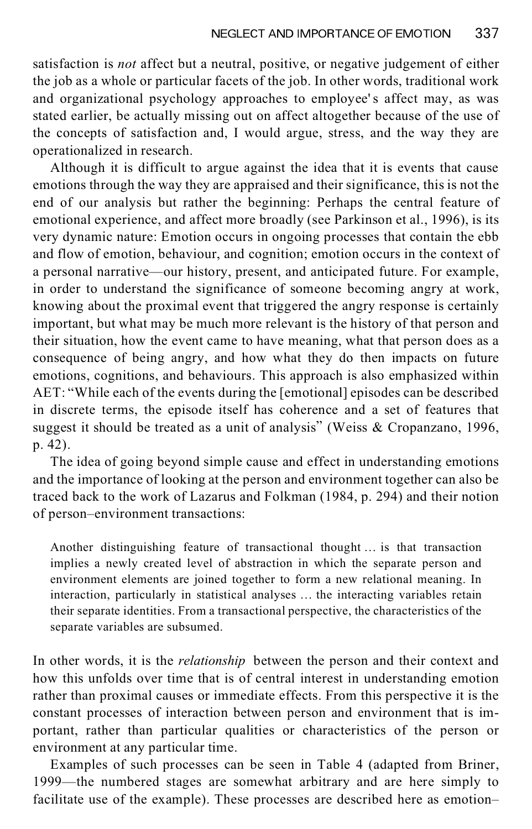satisfaction is *not* affect but a neutral, positive, or negative judgement of either the job as a whole or particular facets of the job. In other words, traditional work and organizational psychology approaches to employee's affect may, as was stated earlier, be actually missing out on affect altogether because of the use of the concepts of satisfaction and, I would argue, stress, and the way they are operationalized in research.

Although it is difficult to argue against the idea that it is events that cause emotions through the way they are appraised and their significance, this is not the end of our analysis but rather the beginning: Perhaps the central feature of emotional experience, and affect more broadly (see Parkinson et al., 1996), is its very dynamic nature: Emotion occurs in ongoing processes that contain the ebb and flow of emotion, behaviour, and cognition; emotion occurs in the context of a personal narrative—our history, present, and anticipated future. For example, in order to understand the significance of someone becoming angry at work, knowing about the proximal event that triggered the angry response is certainly important, but what may be much more relevant is the history of that person and their situation, how the event came to have meaning, what that person does as a consequence of being angry, and how what they do then impacts on future emotions, cognitions, and behaviours. This approach is also emphasized within AET: "While each of the events during the [emotional] episodes can be described in discrete terms, the episode itself has coherence and a set of features that suggest it should be treated as a unit of analysis" (Weiss & Cropanzano, 1996, p. 42).

The idea of going beyond simple cause and effect in understanding emotions and the importance of looking at the person and environment together can also be traced back to the work of Lazarus and Folkman (1984, p. 294) and their notion of person–environment transactions:

Another distinguishing feature of transactional thought … is that transaction implies a newly created level of abstraction in which the separate person and environment elements are joined together to form a new relational meaning. In interaction, particularly in statistical analyses … the interacting variables retain their separate identities. From a transactional perspective, the characteristics of the separate variables are subsumed.

In other words, it is the *relationship* between the person and their context and how this unfolds over time that is of central interest in understanding emotion rather than proximal causes or immediate effects. From this perspective it is the constant processes of interaction between person and environment that is important, rather than particular qualities or characteristics of the person or environment at any particular time.

Examples of such processes can be seen in Table 4 (adapted from Briner, 1999—the numbered stages are somewhat arbitrary and are here simply to facilitate use of the example). These processes are described here as emotion–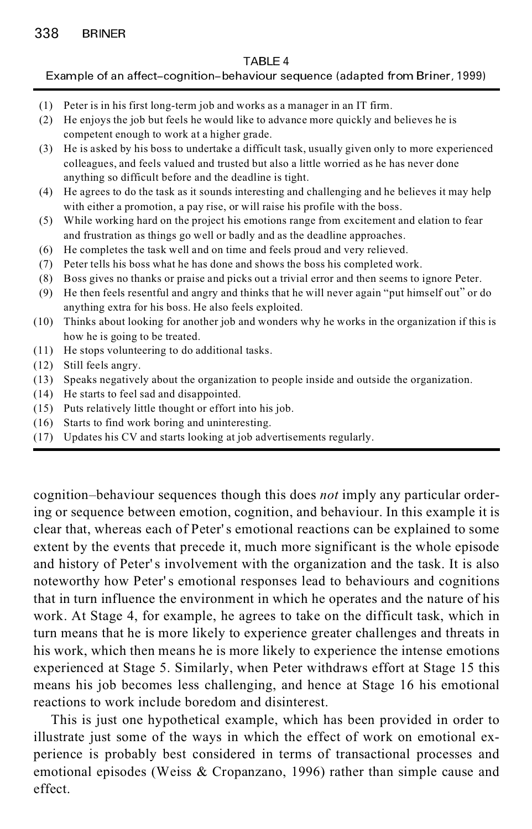#### TABLE 4

#### Example of an affect-cognition-behaviour sequence (adapted from Briner, 1999)

- (1) Peter is in his first long-term job and works as a manager in an IT firm.
- (2) He enjoys the job but feels he would like to advance more quickly and believes he is competent enough to work at a higher grade.
- (3) He is asked by his boss to undertake a difficult task, usually given only to more experienced colleagues, and feels valued and trusted but also a little worried as he has never done anything so difficult before and the deadline is tight.
- (4) He agrees to do the task as it sounds interesting and challenging and he believes it may help with either a promotion, a pay rise, or will raise his profile with the boss.
- (5) While working hard on the project his emotions range from excitement and elation to fear and frustration as things go well or badly and as the deadline approaches.
- (6) He completes the task well and on time and feels proud and very relieved.
- (7) Peter tells his boss what he has done and shows the boss his completed work.
- (8) Boss gives no thanks or praise and picks out a trivial error and then seems to ignore Peter.
- (9) He then feels resentful and angry and thinks that he will never again "put himself out" or do anything extra for his boss. He also feels exploited.
- (10) Thinks about looking for another job and wonders why he works in the organization if this is how he is going to be treated.
- (11) He stops volunteering to do additional tasks.
- (12) Still feels angry.
- (13) Speaks negatively about the organization to people inside and outside the organization.
- (14) He starts to feel sad and disappointed.
- (15) Puts relatively little thought or effort into his job.
- (16) Starts to find work boring and uninteresting.
- (17) Updates his CV and starts looking at job advertisements regularly.

cognition–behaviour sequences though this does *not* imply any particular ordering or sequence between emotion, cognition, and behaviour. In this example it is clear that, whereas each of Peter's emotional reactions can be explained to some extent by the events that precede it, much more significant is the whole episode and history of Peter's involvement with the organization and the task. It is also noteworthy how Peter's emotional responses lead to behaviours and cognitions that in turn influence the environment in which he operates and the nature of his work. At Stage 4, for example, he agrees to take on the difficult task, which in turn means that he is more likely to experience greater challenges and threats in his work, which then means he is more likely to experience the intense emotions experienced at Stage 5. Similarly, when Peter withdraws effort at Stage 15 this means his job becomes less challenging, and hence at Stage 16 his emotional reactions to work include boredom and disinterest.

This is just one hypothetical example, which has been provided in order to illustrate just some of the ways in which the effect of work on emotional experience is probably best considered in terms of transactional processes and emotional episodes (Weiss & Cropanzano, 1996) rather than simple cause and effect.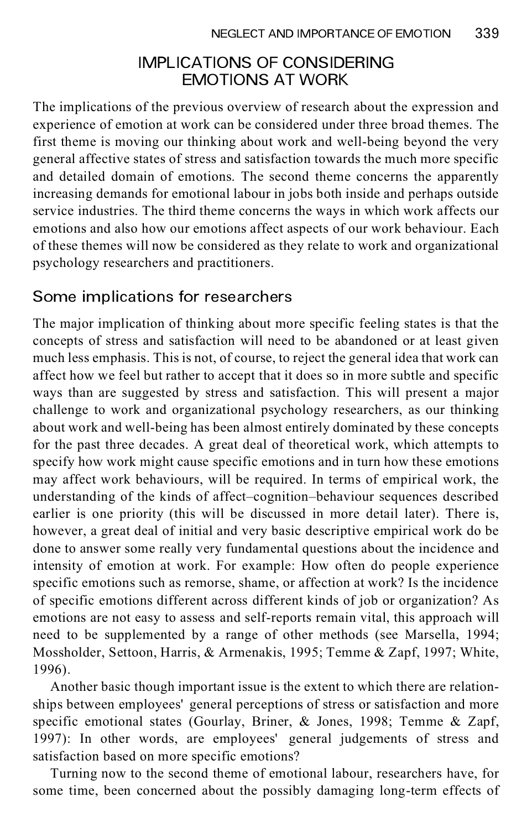### IMPLICATIONS OF CONSIDERING EMOTIONS AT WORK

The implications of the previous overview of research about the expression and experience of emotion at work can be considered under three broad themes. The first theme is moving our thinking about work and well-being beyond the very general affective states of stress and satisfaction towards the much more specific and detailed domain of emotions. The second theme concerns the apparently increasing demands for emotional labour in jobs both inside and perhaps outside service industries. The third theme concerns the ways in which work affects our emotions and also how our emotions affect aspects of our work behaviour. Each of these themes will now be considered as they relate to work and organizational psychology researchers and practitioners.

### Some implications for researchers

The major implication of thinking about more specific feeling states is that the concepts of stress and satisfaction will need to be abandoned or at least given much less emphasis. This is not, of course, to reject the general idea that work can affect how we feel but rather to accept that it does so in more subtle and specific ways than are suggested by stress and satisfaction. This will present a major challenge to work and organizational psychology researchers, as our thinking about work and well-being has been almost entirely dominated by these concepts for the past three decades. A great deal of theoretical work, which attempts to specify how work might cause specific emotions and in turn how these emotions may affect work behaviours, will be required. In terms of empirical work, the understanding of the kinds of affect–cognition–behaviour sequences described earlier is one priority (this will be discussed in more detail later). There is, however, a great deal of initial and very basic descriptive empirical work do be done to answer some really very fundamental questions about the incidence and intensity of emotion at work. For example: How often do people experience specific emotions such as remorse, shame, or affection at work? Is the incidence of specific emotions different across different kinds of job or organization? As emotions are not easy to assess and self-reports remain vital, this approach will need to be supplemented by a range of other methods (see Marsella, 1994; Mossholder, Settoon, Harris, & Armenakis, 1995; Temme & Zapf, 1997; White, 1996).

Another basic though important issue is the extent to which there are relationships between employees' general perceptions of stress or satisfaction and more specific emotional states (Gourlay, Briner, & Jones, 1998; Temme & Zapf, 1997): In other words, are employees' general judgements of stress and satisfaction based on more specific emotions?

Turning now to the second theme of emotional labour, researchers have, for some time, been concerned about the possibly damaging long-term effects of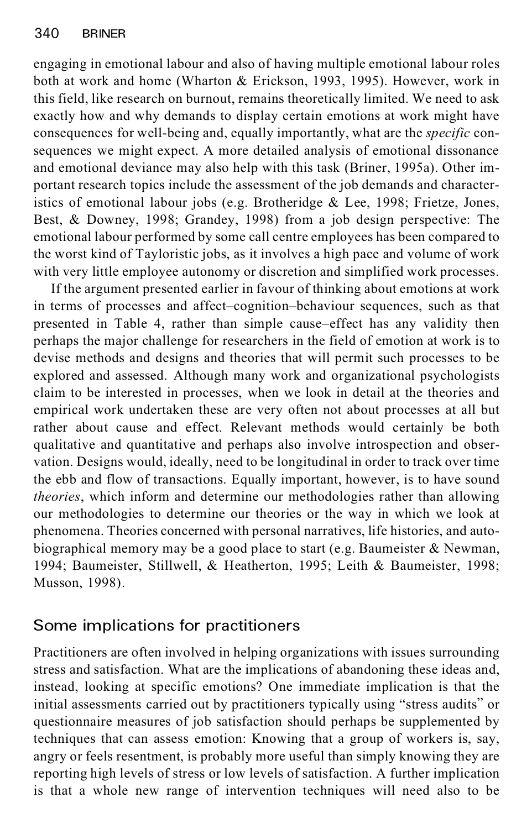engaging in emotional labour and also of having multiple emotional labour roles both at work and home (Wharton & Erickson, 1993, 1995). However, work in this field, like research on burnout, remains theoretically limited. We need to ask exactly how and why demands to display certain emotions at work might have consequences for well-being and, equally importantly, what are the *specific* consequences we might expect. A more detailed analysis of emotional dissonance and emotional deviance may also help with this task (Briner, 1995a). Other important research topics include the assessment of the job demands and characteristics of emotional labour jobs (e.g. Brotheridge & Lee, 1998; Frietze, Jones, Best, & Downey, 1998; Grandey, 1998) from a job design perspective: The emotional labour performed by some call centre employees has been compared to the worst kind of Tayloristic jobs, as it involves a high pace and volume of work with very little employee autonomy or discretion and simplified work processes.

If the argument presented earlier in favour of thinking about emotions at work in terms of processes and affect–cognition–behaviour sequences, such as that presented in Table 4, rather than simple cause–effect has any validity then perhaps the major challenge for researchers in the field of emotion at work is to devise methods and designs and theories that will permit such processes to be explored and assessed. Although many work and organizational psychologists claim to be interested in processes, when we look in detail at the theories and empirical work undertaken these are very often not about processes at all but rather about cause and effect. Relevant methods would certainly be both qualitative and quantitative and perhaps also involve introspection and observation. Designs would, ideally, need to be longitudinal in order to track over time the ebb and flow of transactions. Equally important, however, is to have sound *theories*, which inform and determine our methodologies rather than allowing our methodologies to determine our theories or the way in which we look at phenomena. Theories concerned with personal narratives, life histories, and autobiographical memory may be a good place to start (e.g. Baumeister & Newman, 1994; Baumeister, Stillwell, & Heatherton, 1995; Leith & Baumeister, 1998; Musson, 1998).

## Some implications for practitioners

Practitioners are often involved in helping organizations with issues surrounding stress and satisfaction. What are the implications of abandoning these ideas and, instead, looking at specific emotions? One immediate implication is that the initial assessments carried out by practitioners typically using "stress audits" or questionnaire measures of job satisfaction should perhaps be supplemented by techniques that can assess emotion: Knowing that a group of workers is, say, angry or feels resentment, is probably more useful than simply knowing they are reporting high levels of stress or low levels of satisfaction. A further implication is that a whole new range of intervention techniques will need also to be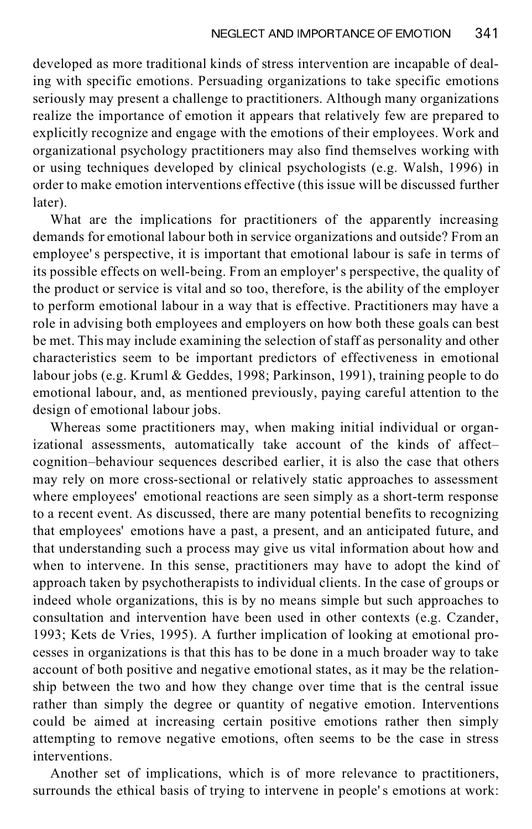developed as more traditional kinds of stress intervention are incapable of dealing with specific emotions. Persuading organizations to take specific emotions seriously may present a challenge to practitioners. Although many organizations realize the importance of emotion it appears that relatively few are prepared to explicitly recognize and engage with the emotions of their employees. Work and organizational psychology practitioners may also find themselves working with or using techniques developed by clinical psychologists (e.g. Walsh, 1996) in order to make emotion interventions effective (this issue will be discussed further later).

What are the implications for practitioners of the apparently increasing demands for emotional labour both in service organizations and outside? From an employee's perspective, it is important that emotional labour is safe in terms of its possible effects on well-being. From an employer's perspective, the quality of the product or service is vital and so too, therefore, is the ability of the employer to perform emotional labour in a way that is effective. Practitioners may have a role in advising both employees and employers on how both these goals can best be met. This may include examining the selection of staff as personality and other characteristics seem to be important predictors of effectiveness in emotional labour jobs (e.g. Kruml & Geddes, 1998; Parkinson, 1991), training people to do emotional labour, and, as mentioned previously, paying careful attention to the design of emotional labour jobs.

Whereas some practitioners may, when making initial individual or organizational assessments, automatically take account of the kinds of affect– cognition–behaviour sequences described earlier, it is also the case that others may rely on more cross-sectional or relatively static approaches to assessment where employees' emotional reactions are seen simply as a short-term response to a recent event. As discussed, there are many potential benefits to recognizing that employees' emotions have a past, a present, and an anticipated future, and that understanding such a process may give us vital information about how and when to intervene. In this sense, practitioners may have to adopt the kind of approach taken by psychotherapists to individual clients. In the case of groups or indeed whole organizations, this is by no means simple but such approaches to consultation and intervention have been used in other contexts (e.g. Czander, 1993; Kets de Vries, 1995). A further implication of looking at emotional processes in organizations is that this has to be done in a much broader way to take account of both positive and negative emotional states, as it may be the relationship between the two and how they change over time that is the central issue rather than simply the degree or quantity of negative emotion. Interventions could be aimed at increasing certain positive emotions rather then simply attempting to remove negative emotions, often seems to be the case in stress interventions.

Another set of implications, which is of more relevance to practitioners, surrounds the ethical basis of trying to intervene in people's emotions at work: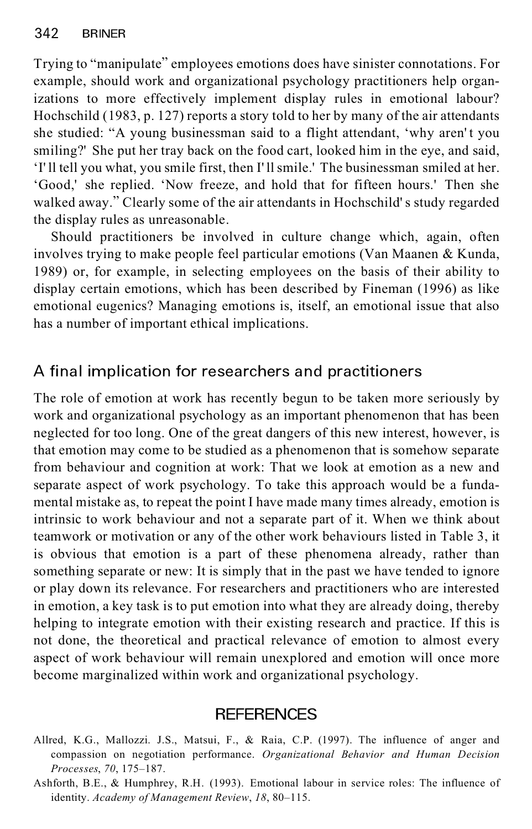Trying to "manipulate" employees emotions does have sinister connotations. For example, should work and organizational psychology practitioners help organizations to more effectively implement display rules in emotional labour? Hochschild (1983, p. 127) reports a story told to her by many of the air attendants she studied: "A young businessman said to a flight attendant, 'why aren't you smiling?' She put her tray back on the food cart, looked him in the eye, and said, 'I'll tell you what, you smile first, then I'll smile.' The businessman smiled at her. 'Good,' she replied. 'Now freeze, and hold that for fifteen hours.' Then she walked away." Clearly some of the air attendants in Hochschild's study regarded the display rules as unreasonable.

Should practitioners be involved in culture change which, again, often involves trying to make people feel particular emotions (Van Maanen & Kunda, 1989) or, for example, in selecting employees on the basis of their ability to display certain emotions, which has been described by Fineman (1996) as like emotional eugenics? Managing emotions is, itself, an emotional issue that also has a number of important ethical implications.

## A final implication for researchers and practitioners

The role of emotion at work has recently begun to be taken more seriously by work and organizational psychology as an important phenomenon that has been neglected for too long. One of the great dangers of this new interest, however, is that emotion may come to be studied as a phenomenon that is somehow separate from behaviour and cognition at work: That we look at emotion as a new and separate aspect of work psychology. To take this approach would be a fundamental mistake as, to repeat the point I have made many times already, emotion is intrinsic to work behaviour and not a separate part of it. When we think about teamwork or motivation or any of the other work behaviours listed in Table 3, it is obvious that emotion is a part of these phenomena already, rather than something separate or new: It is simply that in the past we have tended to ignore or play down its relevance. For researchers and practitioners who are interested in emotion, a key task is to put emotion into what they are already doing, thereby helping to integrate emotion with their existing research and practice. If this is not done, the theoretical and practical relevance of emotion to almost every aspect of work behaviour will remain unexplored and emotion will once more become marginalized within work and organizational psychology.

### **REFERENCES**

- Allred, K.G., Mallozzi. J.S., Matsui, F., & Raia, C.P. (1997). The influence of anger and compassion on negotiation performance. *Organizational Behavior and Human Decision Processes*, *70*, 175–187.
- Ashforth, B.E., & Humphrey, R.H. (1993). Emotional labour in service roles: The influence of identity. *Academy of Management Review*, *18*, 80–115.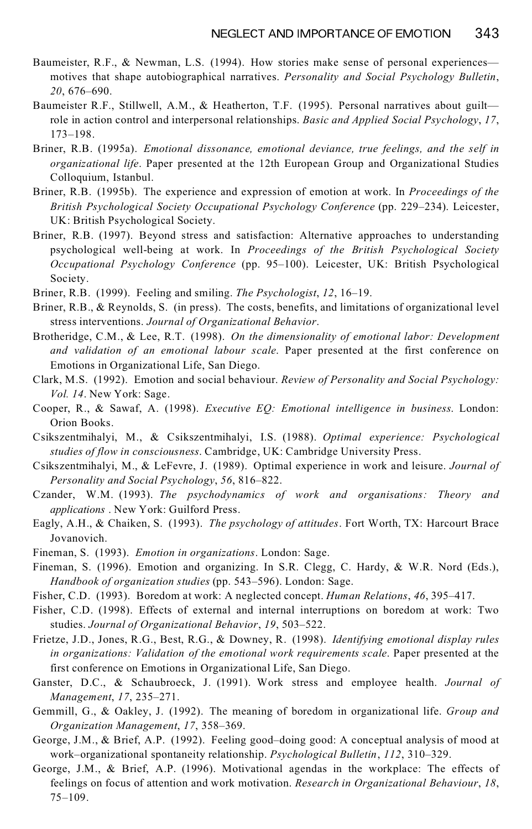- Baumeister, R.F., & Newman, L.S. (1994). How stories make sense of personal experiences motives that shape autobiographical narratives. *Personality and Social Psychology Bulletin*, *20*, 676–690.
- Baumeister R.F., Stillwell, A.M., & Heatherton, T.F. (1995). Personal narratives about guilt role in action control and interpersonal relationships. *Basic and Applied Social Psychology*, *17*, 173–198.
- Briner, R.B. (1995a). *Emotional dissonance, emotional deviance, true feelings, and the self in organizational life*. Paper presented at the 12th European Group and Organizational Studies Colloquium, Istanbul.
- Briner, R.B. (1995b). The experience and expression of emotion at work. In *Proceedings of the British Psychological Society Occupational Psychology Conference* (pp. 229–234). Leicester, UK: British Psychological Society.
- Briner, R.B. (1997). Beyond stress and satisfaction: Alternative approaches to understanding psychological well-being at work. In *Proceedings of the British Psychological Society Occupational Psychology Conference* (pp. 95–100). Leicester, UK: British Psychological Society.
- Briner, R.B. (1999). Feeling and smiling. *The Psychologist*, *12*, 16–19.
- Briner, R.B., & Reynolds, S. (in press). The costs, benefits, and limitations of organizational level stress interventions. *Journal of Organizational Behavior*.
- Brotheridge, C.M., & Lee, R.T. (1998). *On the dimensionality of emotional labor: Development and validation of an emotional labour scale*. Paper presented at the first conference on Emotions in Organizational Life, San Diego.
- Clark, M.S. (1992). Emotion and social behaviour. *Review of Personality and Social Psychology: Vol. 14*. New York: Sage.
- Cooper, R., & Sawaf, A. (1998). *Executive EQ: Emotional intelligence in business*. London: Orion Books.
- Csikszentmihalyi, M., & Csikszentmihalyi, I.S. (1988). *Optimal experience: Psychological studies of flow in consciousness*. Cambridge, UK: Cambridge University Press.
- Csikszentmihalyi, M., & LeFevre, J. (1989). Optimal experience in work and leisure. *Journal of Personality and Social Psychology*, *56*, 816–822.
- Czander, W.M. (1993). *The psychodynamics of work and organisations: Theory and applications* . New York: Guilford Press.
- Eagly, A.H., & Chaiken, S. (1993). *The psychology of attitudes*. Fort Worth, TX: Harcourt Brace Jovanovich.
- Fineman, S. (1993). *Emotion in organizations*. London: Sage.
- Fineman, S. (1996). Emotion and organizing. In S.R. Clegg, C. Hardy, & W.R. Nord (Eds.), *Handbook of organization studies* (pp. 543–596). London: Sage.
- Fisher, C.D. (1993). Boredom at work: A neglected concept. *Human Relations*, *46*, 395–417.
- Fisher, C.D. (1998). Effects of external and internal interruptions on boredom at work: Two studies. *Journal of Organizational Behavior*, *19*, 503–522.
- Frietze, J.D., Jones, R.G., Best, R.G., & Downey, R. (1998). *Identifying emotional display rules in organizations: Validation of the emotional work requirements scale*. Paper presented at the first conference on Emotions in Organizational Life, San Diego.
- Ganster, D.C., & Schaubroeck, J. (1991). Work stress and employee health. *Journal of Management*, *17*, 235–271.
- Gemmill, G., & Oakley, J. (1992). The meaning of boredom in organizational life. *Group and Organization Management*, *17*, 358–369.
- George, J.M., & Brief, A.P. (1992). Feeling good–doing good: A conceptual analysis of mood at work–organizational spontaneity relationship. *Psychological Bulletin*, *112*, 310–329.
- George, J.M., & Brief, A.P. (1996). Motivational agendas in the workplace: The effects of feelings on focus of attention and work motivation. *Research in Organizational Behaviour*, *18*, 75–109.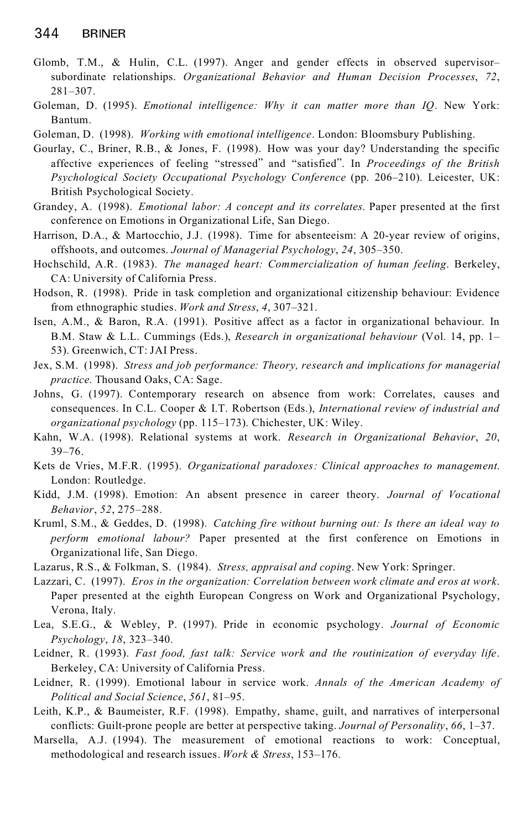- Glomb, T.M., & Hulin, C.L. (1997). Anger and gender effects in observed supervisor– subordinate relationships. *Organizational Behavior and Human Decision Processes*, *72*, 281–307.
- Goleman, D. (1995). *Emotional intelligence: Why it can matter more than IQ*. New York: Bantum.
- Goleman, D. (1998). *Working with emotional intelligence*. London: Bloomsbury Publishing.
- Gourlay, C., Briner, R.B., & Jones, F. (1998). How was your day? Understanding the specific affective experiences of feeling "stressed" and "satisfied". In *Proceedings of the British Psychological Society Occupational Psychology Conference* (pp. 206–210). Leicester, UK: British Psychological Society.
- Grandey, A. (1998). *Emotional labor: A concept and its correlates*. Paper presented at the first conference on Emotions in Organizational Life, San Diego.
- Harrison, D.A., & Martocchio, J.J. (1998). Time for absenteeism: A 20-year review of origins, offshoots, and outcomes. *Journal of Managerial Psychology*, *24*, 305–350.
- Hochschild, A.R. (1983). *The managed heart: Commercialization of human feeling*. Berkeley, CA: University of California Press.
- Hodson, R. (1998). Pride in task completion and organizational citizenship behaviour: Evidence from ethnographic studies. *Work and Stress*, *4*, 307–321.
- Isen, A.M., & Baron, R.A. (1991). Positive affect as a factor in organizational behaviour. In B.M. Staw & L.L. Cummings (Eds.), *Research in organizational behaviour* (Vol. 14, pp. 1– 53). Greenwich, CT: JAI Press.
- Jex, S.M. (1998). *Stress and job performance: Theory, research and implications for managerial practice*. Thousand Oaks, CA: Sage.
- Johns, G. (1997). Contemporary research on absence from work: Correlates, causes and consequences. In C.L. Cooper & I.T. Robertson (Eds.), *International review of industrial and organizational psychology* (pp. 115–173). Chichester, UK: Wiley.
- Kahn, W.A. (1998). Relational systems at work. *Research in Organizational Behavior*, *20*, 39–76.
- Kets de Vries, M.F.R. (1995). *Organizational paradoxes: Clinical approaches to management*. London: Routledge.
- Kidd, J.M. (1998). Emotion: An absent presence in career theory. *Journal of Vocational Behavior*, *52*, 275–288.
- Kruml, S.M., & Geddes, D. (1998). *Catching fire without burning out: Is there an ideal way to perform emotional labour?* Paper presented at the first conference on Emotions in Organizational life, San Diego.
- Lazarus, R.S., & Folkman, S. (1984). *Stress, appraisal and coping*. New York: Springer.
- Lazzari, C. (1997). *Eros in the organization: Correlation between work climate and eros at work*. Paper presented at the eighth European Congress on Work and Organizational Psychology, Verona, Italy.
- Lea, S.E.G., & Webley, P. (1997). Pride in economic psychology. *Journal of Economic Psychology*, *18*, 323–340.
- Leidner, R. (1993). *Fast food, fast talk: Service work and the routinization of everyday life*. Berkeley, CA: University of California Press.
- Leidner, R. (1999). Emotional labour in service work. *Annals of the American Academy of Political and Social Science*, *561*, 81–95.
- Leith, K.P., & Baumeister, R.F. (1998). Empathy, shame, guilt, and narratives of interpersonal conflicts: Guilt-prone people are better at perspective taking. *Journal of Personality*, *66*, 1–37.
- Marsella, A.J. (1994). The measurement of emotional reactions to work: Conceptual, methodological and research issues. *Work & Stress*, 153–176.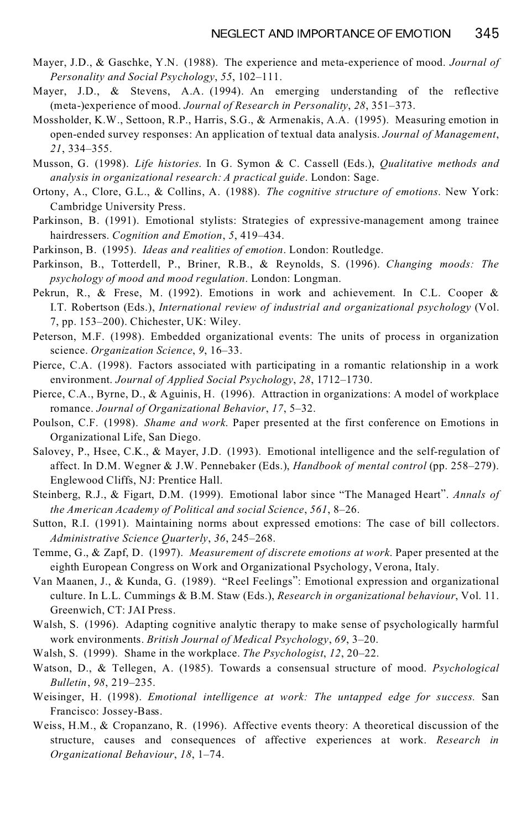- Mayer, J.D., & Gaschke, Y.N. (1988). The experience and meta-experience of mood. *Journal of Personality and Social Psychology*, *55*, 102–111.
- Mayer, J.D., & Stevens, A.A. (1994). An emerging understanding of the reflective (meta-)experience of mood. *Journal of Research in Personality*, *28*, 351–373.
- Mossholder, K.W., Settoon, R.P., Harris, S.G., & Armenakis, A.A. (1995). Measuring emotion in open-ended survey responses: An application of textual data analysis. *Journal of Management*, *21*, 334–355.
- Musson, G. (1998). *Life histories*. In G. Symon & C. Cassell (Eds.), *Qualitative methods and analysis in organizational research: A practical guide*. London: Sage.
- Ortony, A., Clore, G.L., & Collins, A. (1988). *The cognitive structure of emotions*. New York: Cambridge University Press.
- Parkinson, B. (1991). Emotional stylists: Strategies of expressive-management among trainee hairdressers. *Cognition and Emotion*, *5*, 419–434.
- Parkinson, B. (1995). *Ideas and realities of emotion*. London: Routledge.
- Parkinson, B., Totterdell, P., Briner, R.B., & Reynolds, S. (1996). *Changing moods: The psychology of mood and mood regulation*. London: Longman.
- Pekrun, R., & Frese, M. (1992). Emotions in work and achievement. In C.L. Cooper & I.T. Robertson (Eds.), *International review of industrial and organizational psychology* (Vol. 7, pp. 153–200). Chichester, UK: Wiley.
- Peterson, M.F. (1998). Embedded organizational events: The units of process in organization science. *Organization Science*, *9*, 16–33.
- Pierce, C.A. (1998). Factors associated with participating in a romantic relationship in a work environment. *Journal of Applied Social Psychology*, *28*, 1712–1730.
- Pierce, C.A., Byrne, D., & Aguinis, H. (1996). Attraction in organizations: A model of workplace romance. *Journal of Organizational Behavior*, *17*, 5–32.
- Poulson, C.F. (1998). *Shame and work*. Paper presented at the first conference on Emotions in Organizational Life, San Diego.
- Salovey, P., Hsee, C.K., & Mayer, J.D. (1993). Emotional intelligence and the self-regulation of affect. In D.M. Wegner & J.W. Pennebaker (Eds.), *Handbook of mental control* (pp. 258–279). Englewood Cliffs, NJ: Prentice Hall.
- Steinberg, R.J., & Figart, D.M. (1999). Emotional labor since "The Managed Heart". *Annals of the American Academy of Political and social Science*, *561*, 8–26.
- Sutton, R.I. (1991). Maintaining norms about expressed emotions: The case of bill collectors. *Administrative Science Quarterly*, *36*, 245–268.
- Temme, G., & Zapf, D. (1997). *Measurement of discrete emotions at work*. Paper presented at the eighth European Congress on Work and Organizational Psychology, Verona, Italy.
- Van Maanen, J., & Kunda, G. (1989). "Reel Feelings": Emotional expression and organizational culture. In L.L. Cummings & B.M. Staw (Eds.), *Research in organizational behaviour*, Vol. 11. Greenwich, CT: JAI Press.
- Walsh, S. (1996). Adapting cognitive analytic therapy to make sense of psychologically harmful work environments. *British Journal of Medical Psychology*, *69*, 3–20.
- Walsh, S. (1999). Shame in the workplace. *The Psychologist*, *12*, 20–22.
- Watson, D., & Tellegen, A. (1985). Towards a consensual structure of mood. *Psychological Bulletin*, *98*, 219–235.
- Weisinger, H. (1998). *Emotional intelligence at work: The untapped edge for success.* San Francisco: Jossey-Bass.
- Weiss, H.M., & Cropanzano, R. (1996). Affective events theory: A theoretical discussion of the structure, causes and consequences of affective experiences at work. *Research in Organizational Behaviour*, *18*, 1–74.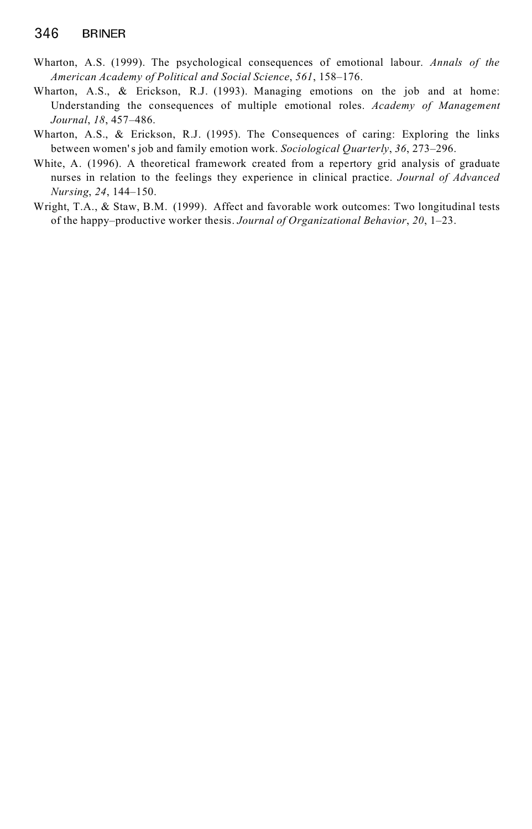- Wharton, A.S. (1999). The psychological consequences of emotional labour. *Annals of the American Academy of Political and Social Science*, *561*, 158–176.
- Wharton, A.S., & Erickson, R.J. (1993). Managing emotions on the job and at home: Understanding the consequences of multiple emotional roles. *Academy of Management Journal*, *18*, 457–486.
- Wharton, A.S., & Erickson, R.J. (1995). The Consequences of caring: Exploring the links between women's job and family emotion work. *Sociological Quarterly*, *36*, 273–296.
- White, A. (1996). A theoretical framework created from a repertory grid analysis of graduate nurses in relation to the feelings they experience in clinical practice. *Journal of Advanced Nursing*, *24*, 144–150.
- Wright, T.A., & Staw, B.M. (1999). Affect and favorable work outcomes: Two longitudinal tests of the happy–productive worker thesis. *Journal of Organizational Behavior*, *20*, 1–23.